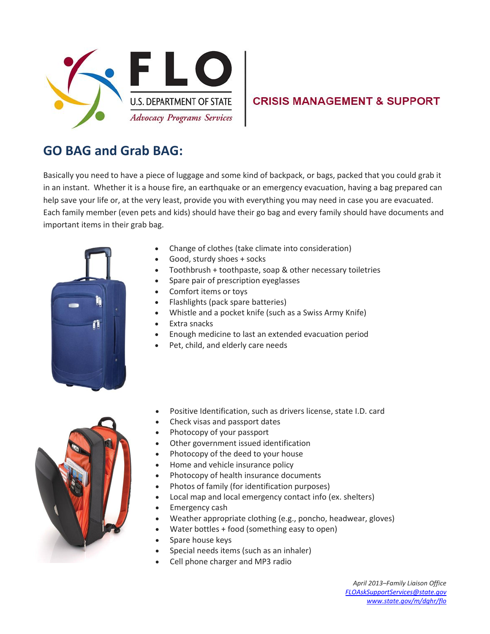

## **CRISIS MANAGEMENT & SUPPORT**

## **GO BAG and Grab BAG:**

Basically you need to have a piece of luggage and some kind of backpack, or bags, packed that you could grab it in an instant. Whether it is a house fire, an earthquake or an emergency evacuation, having a bag prepared can help save your life or, at the very least, provide you with everything you may need in case you are evacuated. Each family member (even pets and kids) should have their go bag and every family should have documents and important items in their grab bag.



- Change of clothes (take climate into consideration)
- Good, sturdy shoes + socks
- Toothbrush + toothpaste, soap & other necessary toiletries
- Spare pair of prescription eyeglasses
- Comfort items or toys
- Flashlights (pack spare batteries)
- Whistle and a pocket knife (such as a Swiss Army Knife)
- Extra snacks
- Enough medicine to last an extended evacuation period
- Pet, child, and elderly care needs



- Positive Identification, such as drivers license, state I.D. card
- Check visas and passport dates
- Photocopy of your passport
- Other government issued identification
- Photocopy of the deed to your house
- Home and vehicle insurance policy
- Photocopy of health insurance documents
- Photos of family (for identification purposes)
- Local map and local emergency contact info (ex. shelters)
- Emergency cash
- Weather appropriate clothing (e.g., poncho, headwear, gloves)
- Water bottles + food (something easy to open)
- Spare house keys
- Special needs items (such as an inhaler)
- Cell phone charger and MP3 radio